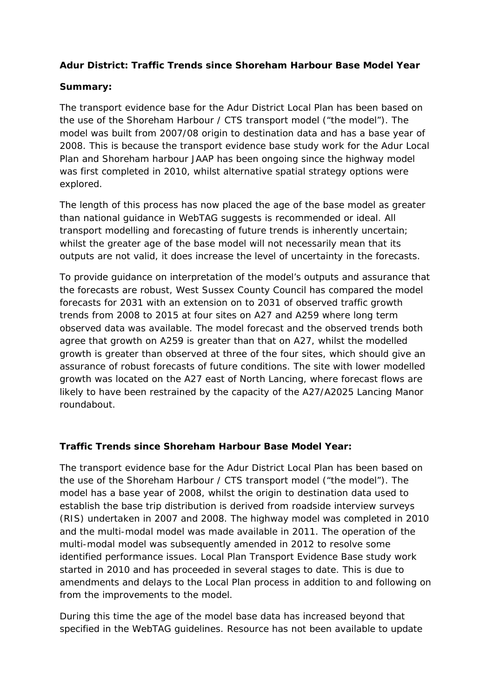## **Adur District: Traffic Trends since Shoreham Harbour Base Model Year**

## **Summary:**

The transport evidence base for the Adur District Local Plan has been based on the use of the Shoreham Harbour / CTS transport model ("the model"). The model was built from 2007/08 origin to destination data and has a base year of 2008. This is because the transport evidence base study work for the Adur Local Plan and Shoreham harbour JAAP has been ongoing since the highway model was first completed in 2010, whilst alternative spatial strategy options were explored.

The length of this process has now placed the age of the base model as greater than national guidance in WebTAG suggests is recommended or ideal. All transport modelling and forecasting of future trends is inherently uncertain; whilst the greater age of the base model will not necessarily mean that its outputs are not valid, it does increase the level of uncertainty in the forecasts.

To provide guidance on interpretation of the model's outputs and assurance that the forecasts are robust, West Sussex County Council has compared the model forecasts for 2031 with an extension on to 2031 of observed traffic growth trends from 2008 to 2015 at four sites on A27 and A259 where long term observed data was available. The model forecast and the observed trends both agree that growth on A259 is greater than that on A27, whilst the modelled growth is greater than observed at three of the four sites, which should give an assurance of robust forecasts of future conditions. The site with lower modelled growth was located on the A27 east of North Lancing, where forecast flows are likely to have been restrained by the capacity of the A27/A2025 Lancing Manor roundabout.

## **Traffic Trends since Shoreham Harbour Base Model Year:**

The transport evidence base for the Adur District Local Plan has been based on the use of the Shoreham Harbour / CTS transport model ("the model"). The model has a base year of 2008, whilst the origin to destination data used to establish the base trip distribution is derived from roadside interview surveys (RIS) undertaken in 2007 and 2008. The highway model was completed in 2010 and the multi-modal model was made available in 2011. The operation of the multi-modal model was subsequently amended in 2012 to resolve some identified performance issues. Local Plan Transport Evidence Base study work started in 2010 and has proceeded in several stages to date. This is due to amendments and delays to the Local Plan process in addition to and following on from the improvements to the model.

During this time the age of the model base data has increased beyond that specified in the WebTAG guidelines. Resource has not been available to update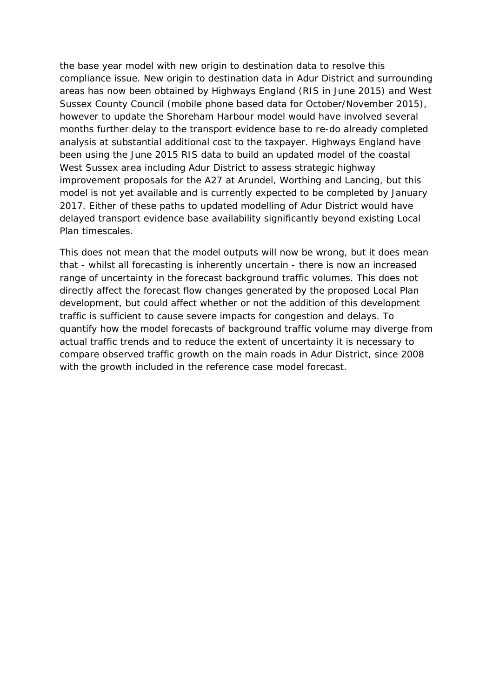the base year model with new origin to destination data to resolve this compliance issue. New origin to destination data in Adur District and surrounding areas has now been obtained by Highways England (RIS in June 2015) and West Sussex County Council (mobile phone based data for October/November 2015), however to update the Shoreham Harbour model would have involved several months further delay to the transport evidence base to re-do already completed analysis at substantial additional cost to the taxpayer. Highways England have been using the June 2015 RIS data to build an updated model of the coastal West Sussex area including Adur District to assess strategic highway improvement proposals for the A27 at Arundel, Worthing and Lancing, but this model is not yet available and is currently expected to be completed by January 2017. Either of these paths to updated modelling of Adur District would have delayed transport evidence base availability significantly beyond existing Local Plan timescales.

This does not mean that the model outputs will now be wrong, but it does mean that - whilst all forecasting is inherently uncertain - there is now an increased range of uncertainty in the forecast background traffic volumes. This does not directly affect the forecast flow changes generated by the proposed Local Plan development, but could affect whether or not the addition of this development traffic is sufficient to cause severe impacts for congestion and delays. To quantify how the model forecasts of background traffic volume may diverge from actual traffic trends and to reduce the extent of uncertainty it is necessary to compare observed traffic growth on the main roads in Adur District, since 2008 with the growth included in the reference case model forecast.